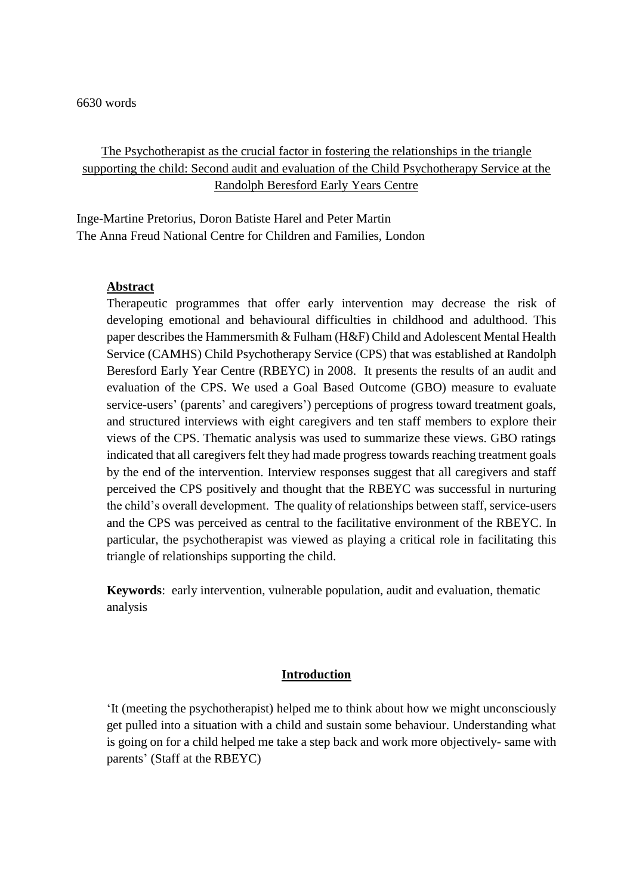#### 6630 words

# The Psychotherapist as the crucial factor in fostering the relationships in the triangle supporting the child: Second audit and evaluation of the Child Psychotherapy Service at the Randolph Beresford Early Years Centre

Inge-Martine Pretorius, Doron Batiste Harel and Peter Martin The Anna Freud National Centre for Children and Families, London

### **Abstract**

Therapeutic programmes that offer early intervention may decrease the risk of developing emotional and behavioural difficulties in childhood and adulthood. This paper describes the Hammersmith & Fulham (H&F) Child and Adolescent Mental Health Service (CAMHS) Child Psychotherapy Service (CPS) that was established at Randolph Beresford Early Year Centre (RBEYC) in 2008. It presents the results of an audit and evaluation of the CPS. We used a Goal Based Outcome (GBO) measure to evaluate service-users' (parents' and caregivers') perceptions of progress toward treatment goals, and structured interviews with eight caregivers and ten staff members to explore their views of the CPS. Thematic analysis was used to summarize these views. GBO ratings indicated that all caregivers felt they had made progress towards reaching treatment goals by the end of the intervention. Interview responses suggest that all caregivers and staff perceived the CPS positively and thought that the RBEYC was successful in nurturing the child's overall development. The quality of relationships between staff, service-users and the CPS was perceived as central to the facilitative environment of the RBEYC. In particular, the psychotherapist was viewed as playing a critical role in facilitating this triangle of relationships supporting the child.

**Keywords**: early intervention, vulnerable population, audit and evaluation, thematic analysis

### **Introduction**

'It (meeting the psychotherapist) helped me to think about how we might unconsciously get pulled into a situation with a child and sustain some behaviour. Understanding what is going on for a child helped me take a step back and work more objectively- same with parents' (Staff at the RBEYC)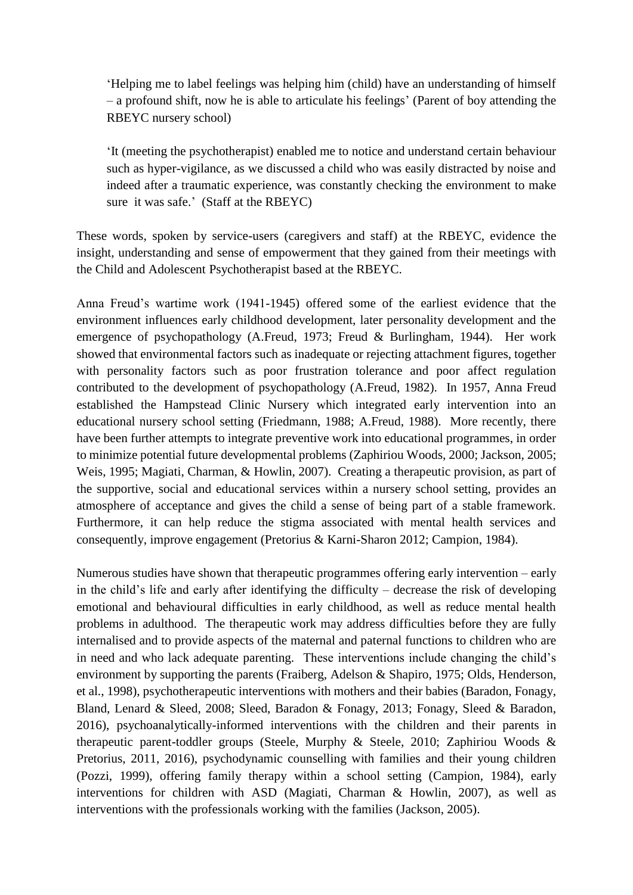'Helping me to label feelings was helping him (child) have an understanding of himself – a profound shift, now he is able to articulate his feelings' (Parent of boy attending the RBEYC nursery school)

'It (meeting the psychotherapist) enabled me to notice and understand certain behaviour such as hyper-vigilance, as we discussed a child who was easily distracted by noise and indeed after a traumatic experience, was constantly checking the environment to make sure it was safe.' (Staff at the RBEYC)

These words, spoken by service-users (caregivers and staff) at the RBEYC, evidence the insight, understanding and sense of empowerment that they gained from their meetings with the Child and Adolescent Psychotherapist based at the RBEYC.

Anna Freud's wartime work (1941-1945) offered some of the earliest evidence that the environment influences early childhood development, later personality development and the emergence of psychopathology (A.Freud, 1973; Freud & Burlingham, 1944). Her work showed that environmental factors such as inadequate or rejecting attachment figures, together with personality factors such as poor frustration tolerance and poor affect regulation contributed to the development of psychopathology (A.Freud, 1982). In 1957, Anna Freud established the Hampstead Clinic Nursery which integrated early intervention into an educational nursery school setting (Friedmann, 1988; A.Freud, 1988). More recently, there have been further attempts to integrate preventive work into educational programmes, in order to minimize potential future developmental problems (Zaphiriou Woods, 2000; Jackson, 2005; Weis, 1995; Magiati, Charman, & Howlin, 2007). Creating a therapeutic provision, as part of the supportive, social and educational services within a nursery school setting, provides an atmosphere of acceptance and gives the child a sense of being part of a stable framework. Furthermore, it can help reduce the stigma associated with mental health services and consequently, improve engagement (Pretorius & Karni-Sharon 2012; Campion, 1984).

Numerous studies have shown that therapeutic programmes offering early intervention – early in the child's life and early after identifying the difficulty – decrease the risk of developing emotional and behavioural difficulties in early childhood, as well as reduce mental health problems in adulthood. The therapeutic work may address difficulties before they are fully internalised and to provide aspects of the maternal and paternal functions to children who are in need and who lack adequate parenting. These interventions include changing the child's environment by supporting the parents (Fraiberg, Adelson & Shapiro, 1975; Olds, Henderson, et al., 1998), psychotherapeutic interventions with mothers and their babies (Baradon, Fonagy, Bland, Lenard & Sleed, 2008; Sleed, Baradon & Fonagy, 2013; Fonagy, Sleed & Baradon, 2016), psychoanalytically-informed interventions with the children and their parents in therapeutic parent-toddler groups (Steele, Murphy & Steele, 2010; Zaphiriou Woods & Pretorius, 2011, 2016), psychodynamic counselling with families and their young children (Pozzi, 1999), offering family therapy within a school setting (Campion, 1984), early interventions for children with ASD (Magiati, Charman & Howlin, 2007), as well as interventions with the professionals working with the families (Jackson, 2005).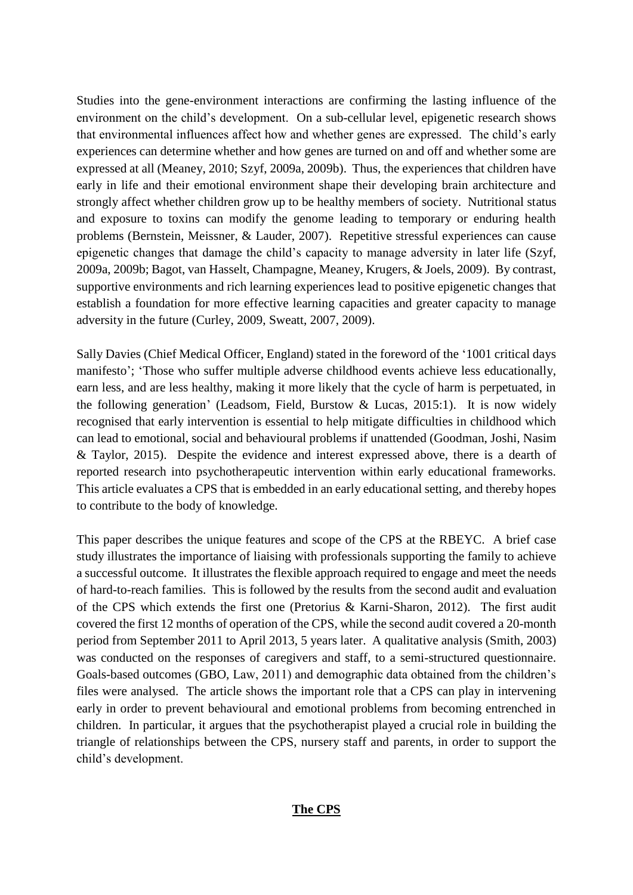Studies into the gene-environment interactions are confirming the lasting influence of the environment on the child's development. On a sub-cellular level, epigenetic research shows that environmental influences affect how and whether genes are expressed. The child's early experiences can determine whether and how genes are turned on and off and whether some are expressed at all (Meaney, 2010; Szyf, 2009a, 2009b). Thus, the experiences that children have early in life and their emotional environment shape their developing brain architecture and strongly affect whether children grow up to be healthy members of society. Nutritional status and exposure to toxins can modify the genome leading to temporary or enduring health problems (Bernstein, Meissner, & Lauder, 2007). Repetitive stressful experiences can cause epigenetic changes that damage the child's capacity to manage adversity in later life (Szyf, 2009a, 2009b; Bagot, van Hasselt, Champagne, Meaney, Krugers, & Joels, 2009). By contrast, supportive environments and rich learning experiences lead to positive epigenetic changes that establish a foundation for more effective learning capacities and greater capacity to manage adversity in the future (Curley, 2009, Sweatt, 2007, 2009).

Sally Davies (Chief Medical Officer, England) stated in the foreword of the '1001 critical days manifesto'; 'Those who suffer multiple adverse childhood events achieve less educationally, earn less, and are less healthy, making it more likely that the cycle of harm is perpetuated, in the following generation' (Leadsom, Field, Burstow & Lucas, 2015:1). It is now widely recognised that early intervention is essential to help mitigate difficulties in childhood which can lead to emotional, social and behavioural problems if unattended (Goodman, Joshi, Nasim & Taylor, 2015). Despite the evidence and interest expressed above, there is a dearth of reported research into psychotherapeutic intervention within early educational frameworks. This article evaluates a CPS that is embedded in an early educational setting, and thereby hopes to contribute to the body of knowledge.

This paper describes the unique features and scope of the CPS at the RBEYC. A brief case study illustrates the importance of liaising with professionals supporting the family to achieve a successful outcome. It illustrates the flexible approach required to engage and meet the needs of hard-to-reach families. This is followed by the results from the second audit and evaluation of the CPS which extends the first one (Pretorius & Karni-Sharon, 2012). The first audit covered the first 12 months of operation of the CPS, while the second audit covered a 20-month period from September 2011 to April 2013, 5 years later. A qualitative analysis (Smith, 2003) was conducted on the responses of caregivers and staff, to a semi-structured questionnaire. Goals-based outcomes (GBO, Law, 2011) and demographic data obtained from the children's files were analysed. The article shows the important role that a CPS can play in intervening early in order to prevent behavioural and emotional problems from becoming entrenched in children. In particular, it argues that the psychotherapist played a crucial role in building the triangle of relationships between the CPS, nursery staff and parents, in order to support the child's development.

#### **The CPS**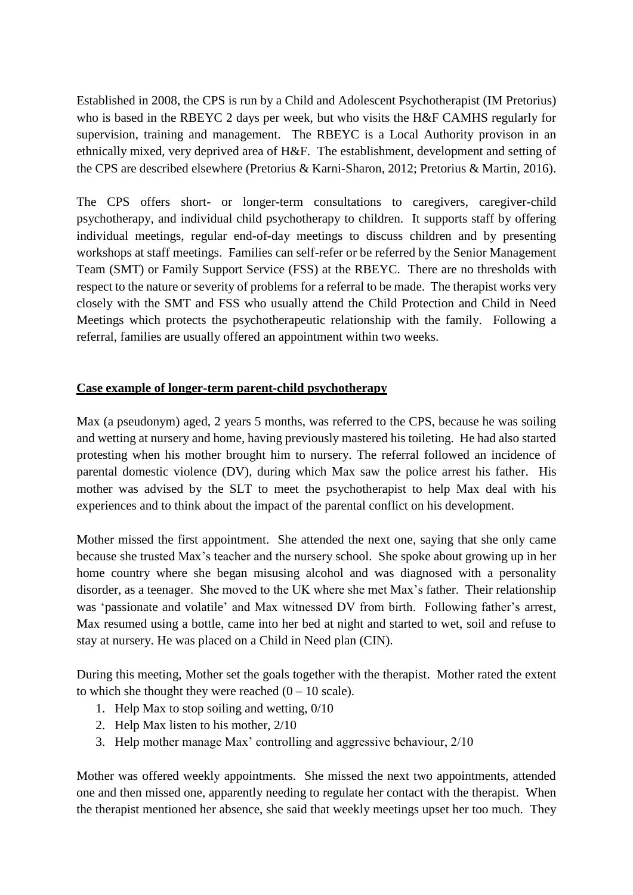Established in 2008, the CPS is run by a Child and Adolescent Psychotherapist (IM Pretorius) who is based in the RBEYC 2 days per week, but who visits the H&F CAMHS regularly for supervision, training and management. The RBEYC is a Local Authority provison in an ethnically mixed, very deprived area of H&F. The establishment, development and setting of the CPS are described elsewhere (Pretorius & Karni-Sharon, 2012; Pretorius & Martin, 2016).

The CPS offers short- or longer-term consultations to caregivers, caregiver-child psychotherapy, and individual child psychotherapy to children. It supports staff by offering individual meetings, regular end-of-day meetings to discuss children and by presenting workshops at staff meetings. Families can self-refer or be referred by the Senior Management Team (SMT) or Family Support Service (FSS) at the RBEYC. There are no thresholds with respect to the nature or severity of problems for a referral to be made. The therapist works very closely with the SMT and FSS who usually attend the Child Protection and Child in Need Meetings which protects the psychotherapeutic relationship with the family. Following a referral, families are usually offered an appointment within two weeks.

### **Case example of longer-term parent-child psychotherapy**

Max (a pseudonym) aged, 2 years 5 months, was referred to the CPS, because he was soiling and wetting at nursery and home, having previously mastered his toileting. He had also started protesting when his mother brought him to nursery. The referral followed an incidence of parental domestic violence (DV), during which Max saw the police arrest his father. His mother was advised by the SLT to meet the psychotherapist to help Max deal with his experiences and to think about the impact of the parental conflict on his development.

Mother missed the first appointment. She attended the next one, saying that she only came because she trusted Max's teacher and the nursery school. She spoke about growing up in her home country where she began misusing alcohol and was diagnosed with a personality disorder, as a teenager. She moved to the UK where she met Max's father. Their relationship was 'passionate and volatile' and Max witnessed DV from birth. Following father's arrest, Max resumed using a bottle, came into her bed at night and started to wet, soil and refuse to stay at nursery. He was placed on a Child in Need plan (CIN).

During this meeting, Mother set the goals together with the therapist. Mother rated the extent to which she thought they were reached  $(0 - 10 \text{ scale})$ .

- 1. Help Max to stop soiling and wetting, 0/10
- 2. Help Max listen to his mother, 2/10
- 3. Help mother manage Max' controlling and aggressive behaviour, 2/10

Mother was offered weekly appointments. She missed the next two appointments, attended one and then missed one, apparently needing to regulate her contact with the therapist. When the therapist mentioned her absence, she said that weekly meetings upset her too much. They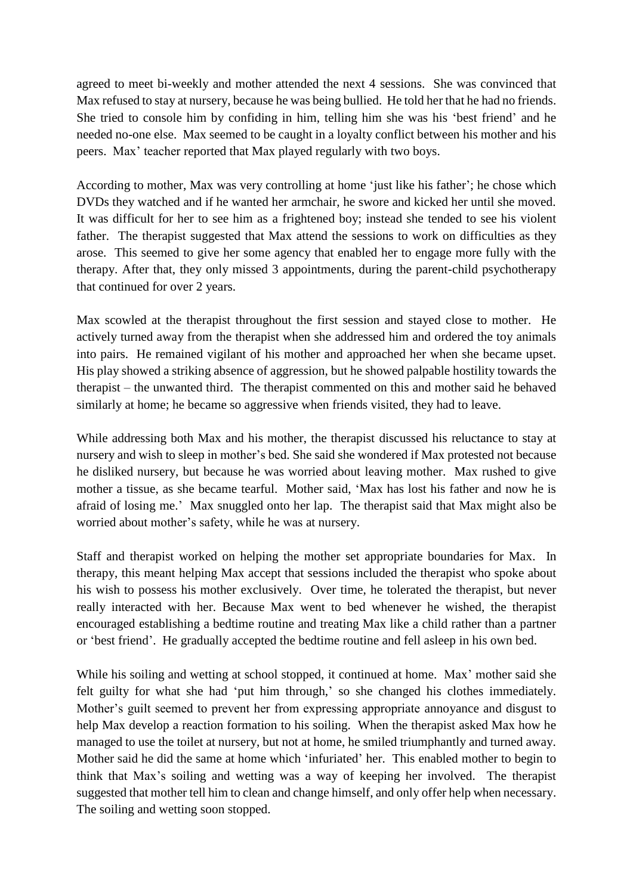agreed to meet bi-weekly and mother attended the next 4 sessions. She was convinced that Max refused to stay at nursery, because he was being bullied. He told her that he had no friends. She tried to console him by confiding in him, telling him she was his 'best friend' and he needed no-one else. Max seemed to be caught in a loyalty conflict between his mother and his peers. Max' teacher reported that Max played regularly with two boys.

According to mother, Max was very controlling at home 'just like his father'; he chose which DVDs they watched and if he wanted her armchair, he swore and kicked her until she moved. It was difficult for her to see him as a frightened boy; instead she tended to see his violent father. The therapist suggested that Max attend the sessions to work on difficulties as they arose. This seemed to give her some agency that enabled her to engage more fully with the therapy. After that, they only missed 3 appointments, during the parent-child psychotherapy that continued for over 2 years.

Max scowled at the therapist throughout the first session and stayed close to mother. He actively turned away from the therapist when she addressed him and ordered the toy animals into pairs. He remained vigilant of his mother and approached her when she became upset. His play showed a striking absence of aggression, but he showed palpable hostility towards the therapist – the unwanted third. The therapist commented on this and mother said he behaved similarly at home; he became so aggressive when friends visited, they had to leave.

While addressing both Max and his mother, the therapist discussed his reluctance to stay at nursery and wish to sleep in mother's bed. She said she wondered if Max protested not because he disliked nursery, but because he was worried about leaving mother. Max rushed to give mother a tissue, as she became tearful. Mother said, 'Max has lost his father and now he is afraid of losing me.' Max snuggled onto her lap. The therapist said that Max might also be worried about mother's safety, while he was at nursery.

Staff and therapist worked on helping the mother set appropriate boundaries for Max. In therapy, this meant helping Max accept that sessions included the therapist who spoke about his wish to possess his mother exclusively. Over time, he tolerated the therapist, but never really interacted with her. Because Max went to bed whenever he wished, the therapist encouraged establishing a bedtime routine and treating Max like a child rather than a partner or 'best friend'. He gradually accepted the bedtime routine and fell asleep in his own bed.

While his soiling and wetting at school stopped, it continued at home. Max' mother said she felt guilty for what she had 'put him through,' so she changed his clothes immediately. Mother's guilt seemed to prevent her from expressing appropriate annoyance and disgust to help Max develop a reaction formation to his soiling. When the therapist asked Max how he managed to use the toilet at nursery, but not at home, he smiled triumphantly and turned away. Mother said he did the same at home which 'infuriated' her. This enabled mother to begin to think that Max's soiling and wetting was a way of keeping her involved. The therapist suggested that mother tell him to clean and change himself, and only offer help when necessary. The soiling and wetting soon stopped.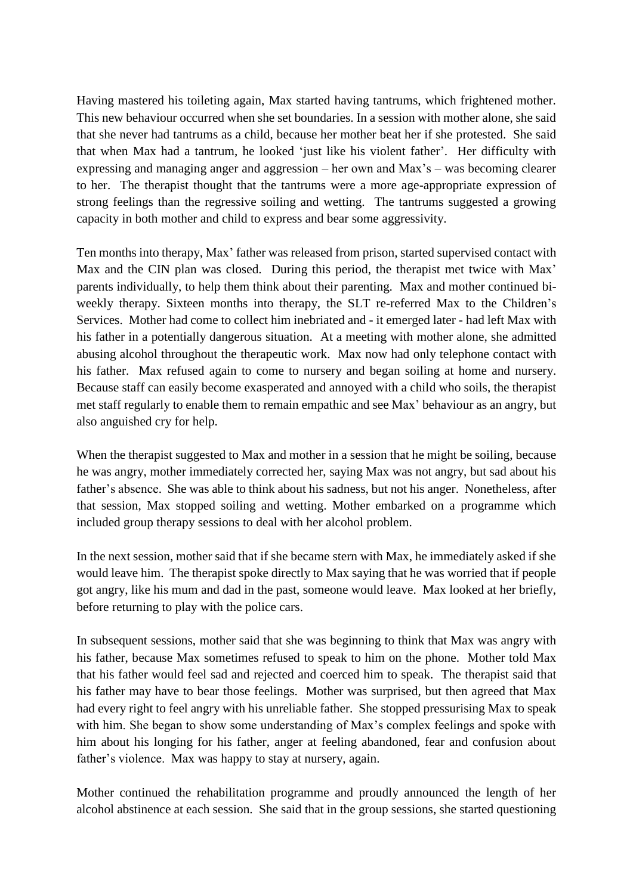Having mastered his toileting again, Max started having tantrums, which frightened mother. This new behaviour occurred when she set boundaries. In a session with mother alone, she said that she never had tantrums as a child, because her mother beat her if she protested. She said that when Max had a tantrum, he looked 'just like his violent father'. Her difficulty with expressing and managing anger and aggression – her own and Max's – was becoming clearer to her. The therapist thought that the tantrums were a more age-appropriate expression of strong feelings than the regressive soiling and wetting. The tantrums suggested a growing capacity in both mother and child to express and bear some aggressivity.

Ten months into therapy, Max' father was released from prison, started supervised contact with Max and the CIN plan was closed. During this period, the therapist met twice with Max' parents individually, to help them think about their parenting. Max and mother continued biweekly therapy. Sixteen months into therapy, the SLT re-referred Max to the Children's Services. Mother had come to collect him inebriated and - it emerged later - had left Max with his father in a potentially dangerous situation. At a meeting with mother alone, she admitted abusing alcohol throughout the therapeutic work. Max now had only telephone contact with his father. Max refused again to come to nursery and began soiling at home and nursery. Because staff can easily become exasperated and annoyed with a child who soils, the therapist met staff regularly to enable them to remain empathic and see Max' behaviour as an angry, but also anguished cry for help.

When the therapist suggested to Max and mother in a session that he might be soiling, because he was angry, mother immediately corrected her, saying Max was not angry, but sad about his father's absence. She was able to think about his sadness, but not his anger. Nonetheless, after that session, Max stopped soiling and wetting. Mother embarked on a programme which included group therapy sessions to deal with her alcohol problem.

In the next session, mother said that if she became stern with Max, he immediately asked if she would leave him. The therapist spoke directly to Max saying that he was worried that if people got angry, like his mum and dad in the past, someone would leave. Max looked at her briefly, before returning to play with the police cars.

In subsequent sessions, mother said that she was beginning to think that Max was angry with his father, because Max sometimes refused to speak to him on the phone. Mother told Max that his father would feel sad and rejected and coerced him to speak. The therapist said that his father may have to bear those feelings. Mother was surprised, but then agreed that Max had every right to feel angry with his unreliable father. She stopped pressurising Max to speak with him. She began to show some understanding of Max's complex feelings and spoke with him about his longing for his father, anger at feeling abandoned, fear and confusion about father's violence. Max was happy to stay at nursery, again.

Mother continued the rehabilitation programme and proudly announced the length of her alcohol abstinence at each session. She said that in the group sessions, she started questioning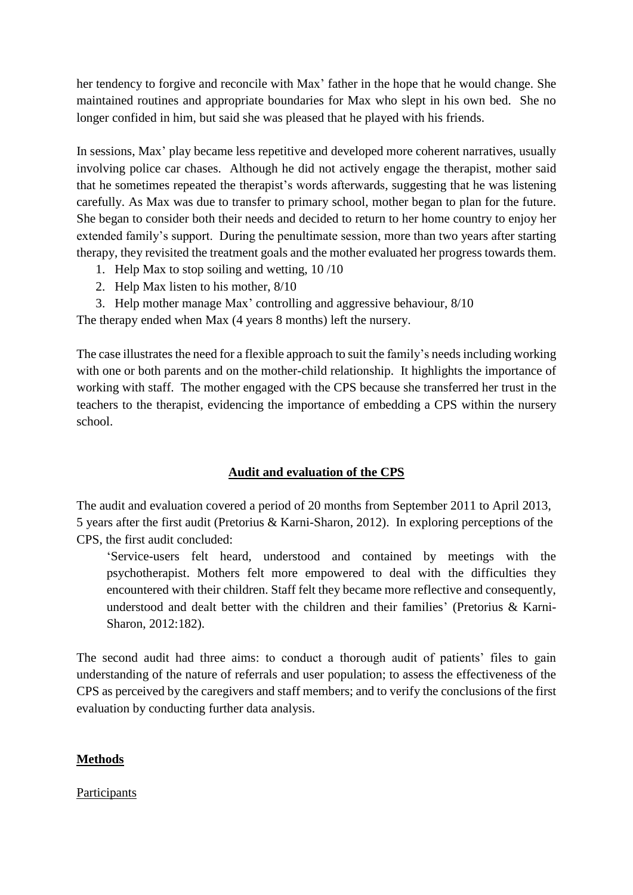her tendency to forgive and reconcile with Max' father in the hope that he would change. She maintained routines and appropriate boundaries for Max who slept in his own bed. She no longer confided in him, but said she was pleased that he played with his friends.

In sessions, Max' play became less repetitive and developed more coherent narratives, usually involving police car chases. Although he did not actively engage the therapist, mother said that he sometimes repeated the therapist's words afterwards, suggesting that he was listening carefully. As Max was due to transfer to primary school, mother began to plan for the future. She began to consider both their needs and decided to return to her home country to enjoy her extended family's support. During the penultimate session, more than two years after starting therapy, they revisited the treatment goals and the mother evaluated her progress towards them.

- 1. Help Max to stop soiling and wetting, 10 /10
- 2. Help Max listen to his mother, 8/10
- 3. Help mother manage Max' controlling and aggressive behaviour, 8/10

The therapy ended when Max (4 years 8 months) left the nursery.

The case illustrates the need for a flexible approach to suit the family's needs including working with one or both parents and on the mother-child relationship. It highlights the importance of working with staff. The mother engaged with the CPS because she transferred her trust in the teachers to the therapist, evidencing the importance of embedding a CPS within the nursery school.

# **Audit and evaluation of the CPS**

The audit and evaluation covered a period of 20 months from September 2011 to April 2013, 5 years after the first audit (Pretorius & Karni-Sharon, 2012). In exploring perceptions of the CPS, the first audit concluded:

'Service-users felt heard, understood and contained by meetings with the psychotherapist. Mothers felt more empowered to deal with the difficulties they encountered with their children. Staff felt they became more reflective and consequently, understood and dealt better with the children and their families' (Pretorius & Karni-Sharon, 2012:182).

The second audit had three aims: to conduct a thorough audit of patients' files to gain understanding of the nature of referrals and user population; to assess the effectiveness of the CPS as perceived by the caregivers and staff members; and to verify the conclusions of the first evaluation by conducting further data analysis.

# **Methods**

Participants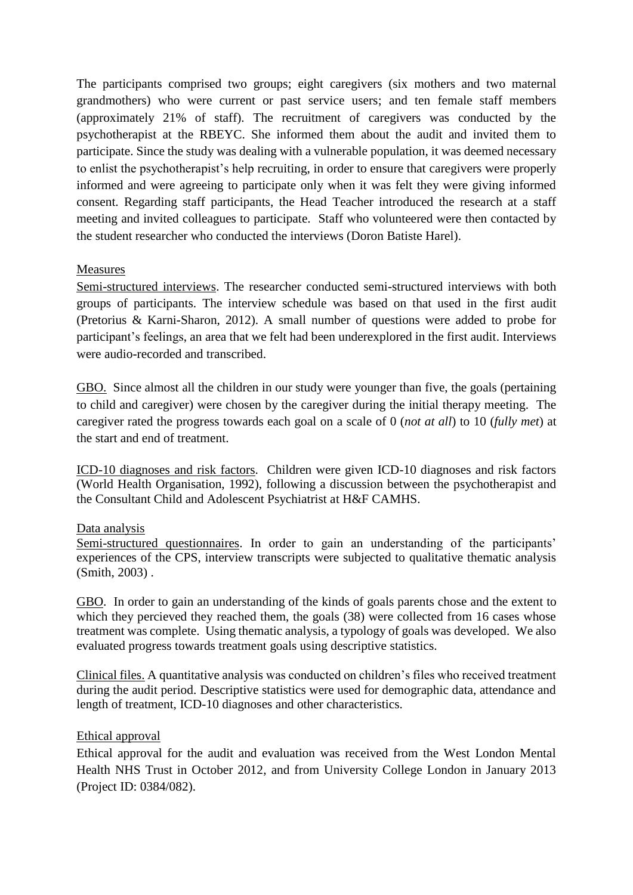The participants comprised two groups; eight caregivers (six mothers and two maternal grandmothers) who were current or past service users; and ten female staff members (approximately 21% of staff). The recruitment of caregivers was conducted by the psychotherapist at the RBEYC. She informed them about the audit and invited them to participate. Since the study was dealing with a vulnerable population, it was deemed necessary to enlist the psychotherapist's help recruiting, in order to ensure that caregivers were properly informed and were agreeing to participate only when it was felt they were giving informed consent. Regarding staff participants, the Head Teacher introduced the research at a staff meeting and invited colleagues to participate. Staff who volunteered were then contacted by the student researcher who conducted the interviews (Doron Batiste Harel).

### Measures

Semi-structured interviews. The researcher conducted semi-structured interviews with both groups of participants. The interview schedule was based on that used in the first audit (Pretorius & Karni-Sharon, 2012). A small number of questions were added to probe for participant's feelings, an area that we felt had been underexplored in the first audit. Interviews were audio-recorded and transcribed.

GBO. Since almost all the children in our study were younger than five, the goals (pertaining to child and caregiver) were chosen by the caregiver during the initial therapy meeting. The caregiver rated the progress towards each goal on a scale of 0 (*not at all*) to 10 (*fully met*) at the start and end of treatment.

ICD-10 diagnoses and risk factors. Children were given ICD-10 diagnoses and risk factors (World Health Organisation, 1992), following a discussion between the psychotherapist and the Consultant Child and Adolescent Psychiatrist at H&F CAMHS.

### Data analysis

Semi-structured questionnaires. In order to gain an understanding of the participants' experiences of the CPS, interview transcripts were subjected to qualitative thematic analysis (Smith, 2003) .

GBO. In order to gain an understanding of the kinds of goals parents chose and the extent to which they percieved they reached them, the goals (38) were collected from 16 cases whose treatment was complete. Using thematic analysis, a typology of goals was developed. We also evaluated progress towards treatment goals using descriptive statistics.

Clinical files. A quantitative analysis was conducted on children's files who received treatment during the audit period. Descriptive statistics were used for demographic data, attendance and length of treatment, ICD-10 diagnoses and other characteristics.

### Ethical approval

Ethical approval for the audit and evaluation was received from the West London Mental Health NHS Trust in October 2012, and from University College London in January 2013 (Project ID: 0384/082).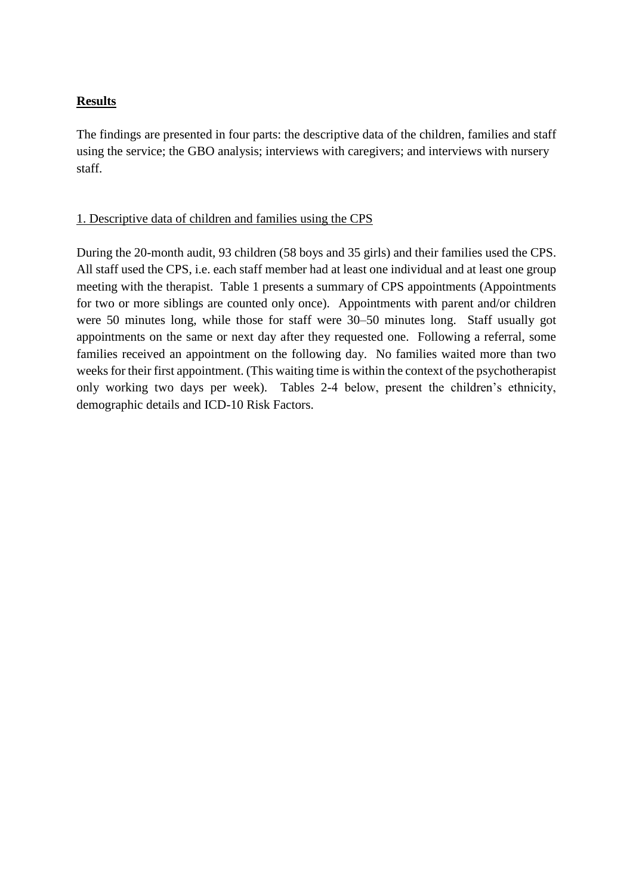### **Results**

The findings are presented in four parts: the descriptive data of the children, families and staff using the service; the GBO analysis; interviews with caregivers; and interviews with nursery staff.

### 1. Descriptive data of children and families using the CPS

During the 20-month audit, 93 children (58 boys and 35 girls) and their families used the CPS. All staff used the CPS, i.e. each staff member had at least one individual and at least one group meeting with the therapist. Table 1 presents a summary of CPS appointments (Appointments for two or more siblings are counted only once). Appointments with parent and/or children were 50 minutes long, while those for staff were 30–50 minutes long. Staff usually got appointments on the same or next day after they requested one. Following a referral, some families received an appointment on the following day. No families waited more than two weeks for their first appointment. (This waiting time is within the context of the psychotherapist only working two days per week). Tables 2-4 below, present the children's ethnicity, demographic details and ICD-10 Risk Factors.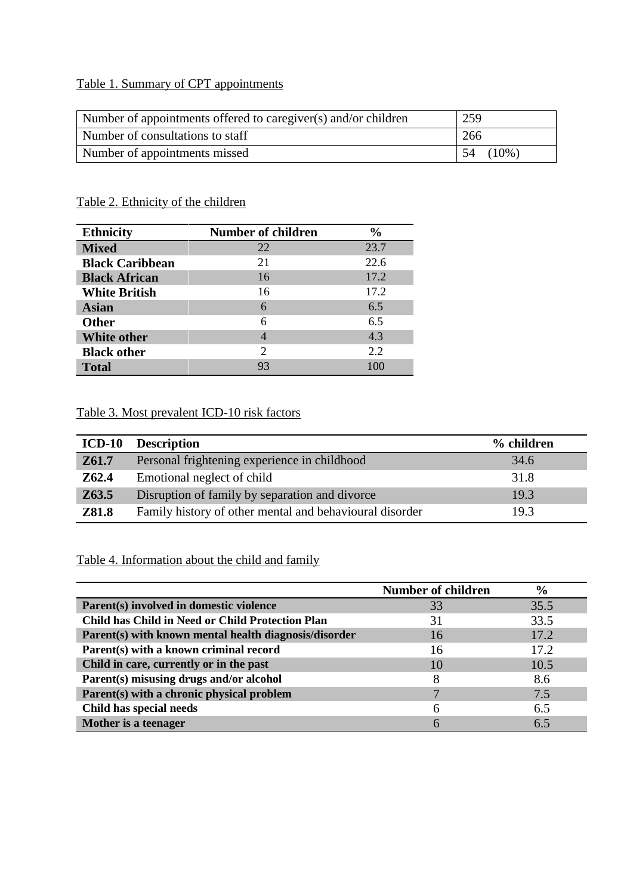# Table 1. Summary of CPT appointments

| Number of appointments offered to caregiver(s) and/or children | 259             |
|----------------------------------------------------------------|-----------------|
| Number of consultations to staff                               | 266             |
| Number of appointments missed                                  | $(10\%)$<br>-54 |

# Table 2. Ethnicity of the children

| <b>Ethnicity</b>       | <b>Number of children</b> | $\frac{6}{9}$ |
|------------------------|---------------------------|---------------|
| <b>Mixed</b>           | 22                        | 23.7          |
| <b>Black Caribbean</b> | 21                        | 22.6          |
| <b>Black African</b>   | 16                        | 17.2          |
| <b>White British</b>   | 16                        | 17.2          |
| <b>Asian</b>           | 6                         | 6.5           |
| <b>Other</b>           | 6                         | 6.5           |
| <b>White other</b>     |                           | 4.3           |
| <b>Black other</b>     | 2                         | 2.2           |
| <b>Total</b>           | 93                        | 100           |

# Table 3. Most prevalent ICD-10 risk factors

| <b>ICD-10</b> | <b>Description</b>                                      | % children |
|---------------|---------------------------------------------------------|------------|
| <b>Z61.7</b>  | Personal frightening experience in childhood            | 34.6       |
| <b>Z62.4</b>  | Emotional neglect of child                              | 31.8       |
| Z63.5         | Disruption of family by separation and divorce          | 19.3       |
| <b>Z81.8</b>  | Family history of other mental and behavioural disorder | 19.3       |

Table 4. Information about the child and family

|                                                       | Number of children | $\frac{6}{9}$ |
|-------------------------------------------------------|--------------------|---------------|
| Parent(s) involved in domestic violence               | 33                 | 35.5          |
| Child has Child in Need or Child Protection Plan      | 31                 | 33.5          |
| Parent(s) with known mental health diagnosis/disorder | 16                 | 17.2          |
| Parent(s) with a known criminal record                | 16                 | 17.2          |
| Child in care, currently or in the past               | 10                 | 10.5          |
| Parent(s) misusing drugs and/or alcohol               | 8                  | 8.6           |
| Parent(s) with a chronic physical problem             |                    | 7.5           |
| Child has special needs                               | 6                  | 6.5           |
| Mother is a teenager                                  | 6                  | 6.5           |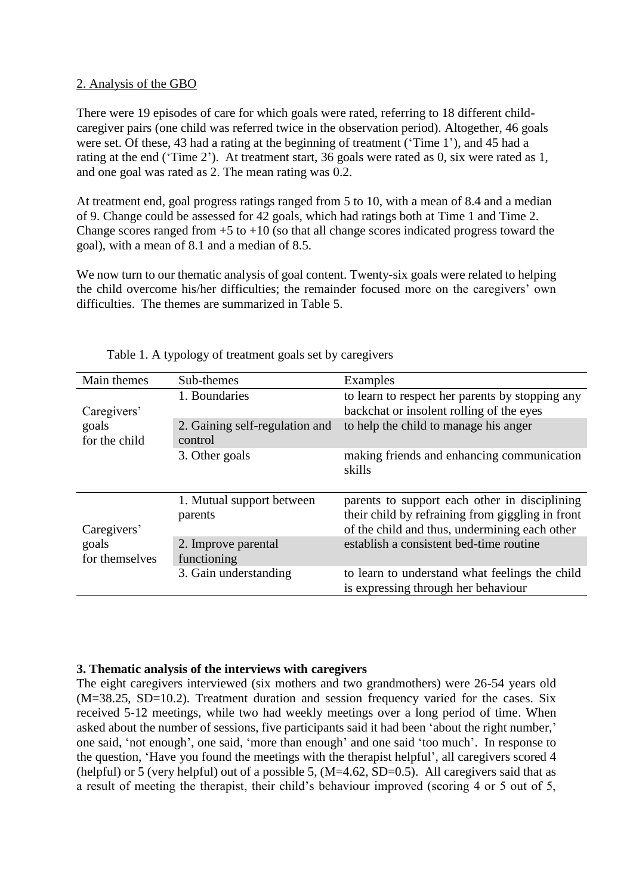### 2. Analysis of the GBO

There were 19 episodes of care for which goals were rated, referring to 18 different childcaregiver pairs (one child was referred twice in the observation period). Altogether, 46 goals were set. Of these, 43 had a rating at the beginning of treatment ('Time 1'), and 45 had a rating at the end ('Time 2'). At treatment start, 36 goals were rated as 0, six were rated as 1, and one goal was rated as 2. The mean rating was 0.2.

At treatment end, goal progress ratings ranged from 5 to 10, with a mean of 8.4 and a median of 9. Change could be assessed for 42 goals, which had ratings both at Time 1 and Time 2. Change scores ranged from  $+5$  to  $+10$  (so that all change scores indicated progress toward the goal), with a mean of 8.1 and a median of 8.5.

We now turn to our thematic analysis of goal content. Twenty-six goals were related to helping the child overcome his/her difficulties; the remainder focused more on the caregivers' own difficulties. The themes are summarized in Table 5.

| Main themes            | Sub-themes                                | Examples                                             |
|------------------------|-------------------------------------------|------------------------------------------------------|
|                        | 1. Boundaries                             | to learn to respect her parents by stopping any      |
| Caregivers'            |                                           | backchat or insolent rolling of the eyes             |
| goals<br>for the child | 2. Gaining self-regulation and<br>control | to help the child to manage his anger                |
|                        | 3. Other goals                            | making friends and enhancing communication<br>skills |
|                        | 1. Mutual support between                 | parents to support each other in disciplining        |
|                        | parents                                   | their child by refraining from giggling in front     |
| Caregivers'            |                                           | of the child and thus, undermining each other        |
| goals                  | 2. Improve parental                       | establish a consistent bed-time routine              |
| for themselves         | functioning                               |                                                      |
|                        | 3. Gain understanding                     | to learn to understand what feelings the child       |
|                        |                                           | is expressing through her behaviour                  |

Table 1. A typology of treatment goals set by caregivers

### **3. Thematic analysis of the interviews with caregivers**

The eight caregivers interviewed (six mothers and two grandmothers) were 26-54 years old (M=38.25, SD=10.2). Treatment duration and session frequency varied for the cases. Six received 5-12 meetings, while two had weekly meetings over a long period of time. When asked about the number of sessions, five participants said it had been 'about the right number,' one said, 'not enough', one said, 'more than enough' and one said 'too much'. In response to the question, 'Have you found the meetings with the therapist helpful', all caregivers scored 4 (helpful) or 5 (very helpful) out of a possible 5,  $(M=4.62, SD=0.5)$ . All caregivers said that as a result of meeting the therapist, their child's behaviour improved (scoring 4 or 5 out of 5,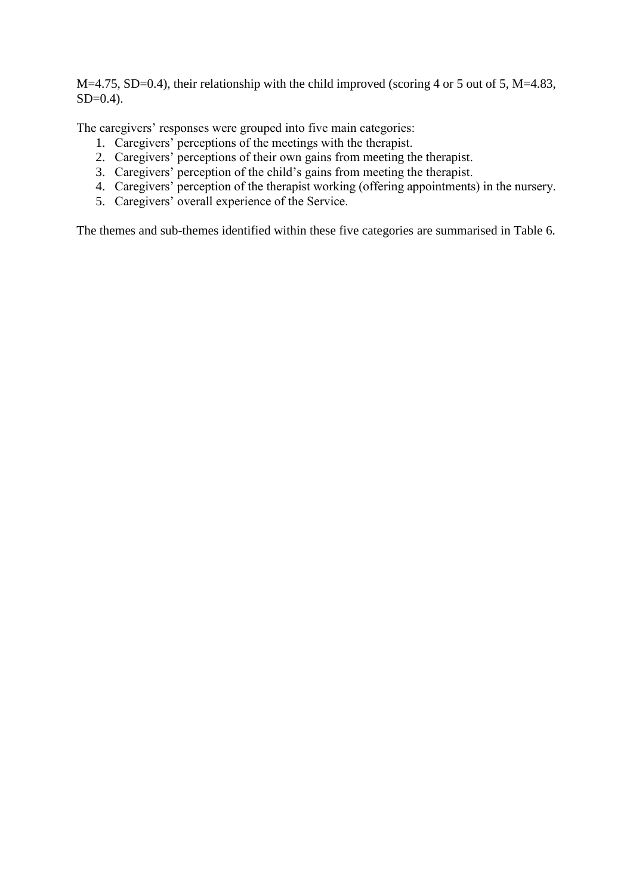M=4.75, SD=0.4), their relationship with the child improved (scoring 4 or 5 out of 5, M=4.83,  $SD=0.4$ ).

The caregivers' responses were grouped into five main categories:

- 1. Caregivers' perceptions of the meetings with the therapist.
- 2. Caregivers' perceptions of their own gains from meeting the therapist.
- 3. Caregivers' perception of the child's gains from meeting the therapist.
- 4. Caregivers' perception of the therapist working (offering appointments) in the nursery.
- 5. Caregivers' overall experience of the Service.

The themes and sub-themes identified within these five categories are summarised in Table 6.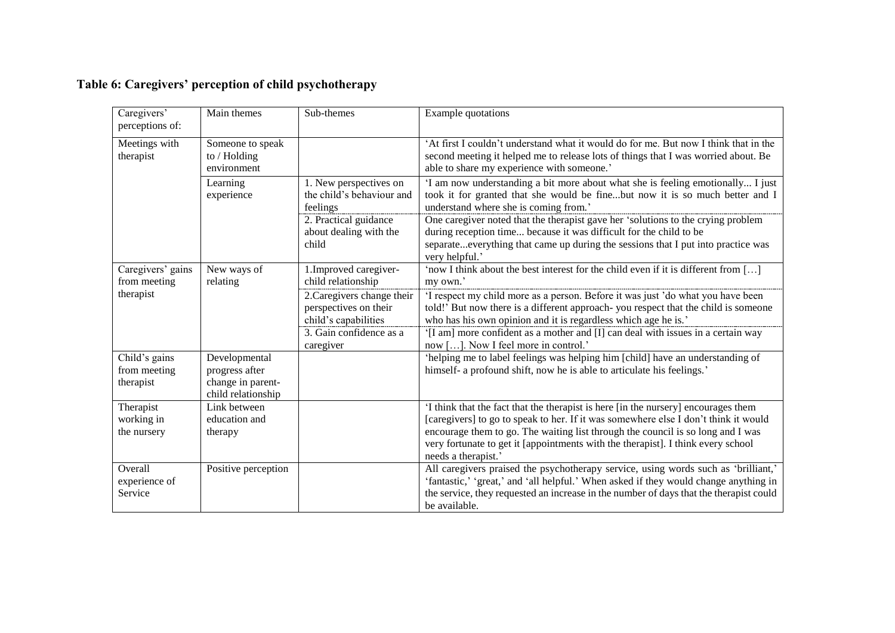# **Table 6: Caregivers' perception of child psychotherapy**

| Caregivers'<br>perceptions of:             | Main themes                                                                | Sub-themes                                                                  | Example quotations                                                                                                                                                                                                                                                                                                                                                      |
|--------------------------------------------|----------------------------------------------------------------------------|-----------------------------------------------------------------------------|-------------------------------------------------------------------------------------------------------------------------------------------------------------------------------------------------------------------------------------------------------------------------------------------------------------------------------------------------------------------------|
| Meetings with<br>therapist                 | Someone to speak<br>to / Holding<br>environment                            |                                                                             | 'At first I couldn't understand what it would do for me. But now I think that in the<br>second meeting it helped me to release lots of things that I was worried about. Be<br>able to share my experience with someone.'                                                                                                                                                |
|                                            | Learning<br>experience                                                     | 1. New perspectives on<br>the child's behaviour and<br>feelings             | 'I am now understanding a bit more about what she is feeling emotionally I just<br>took it for granted that she would be finebut now it is so much better and I<br>understand where she is coming from.'                                                                                                                                                                |
|                                            |                                                                            | 2. Practical guidance<br>about dealing with the<br>child                    | One caregiver noted that the therapist gave her 'solutions to the crying problem<br>during reception time because it was difficult for the child to be<br>separateeverything that came up during the sessions that I put into practice was<br>very helpful.'                                                                                                            |
| Caregivers' gains<br>from meeting          | New ways of<br>relating                                                    | 1. Improved caregiver-<br>child relationship                                | 'now I think about the best interest for the child even if it is different from []<br>my own.'                                                                                                                                                                                                                                                                          |
| therapist                                  |                                                                            | 2. Caregivers change their<br>perspectives on their<br>child's capabilities | 'I respect my child more as a person. Before it was just 'do what you have been<br>told!' But now there is a different approach-you respect that the child is someone<br>who has his own opinion and it is regardless which age he is.'                                                                                                                                 |
|                                            |                                                                            | 3. Gain confidence as a<br>caregiver                                        | '[I am] more confident as a mother and [I] can deal with issues in a certain way<br>now []. Now I feel more in control.'                                                                                                                                                                                                                                                |
| Child's gains<br>from meeting<br>therapist | Developmental<br>progress after<br>change in parent-<br>child relationship |                                                                             | 'helping me to label feelings was helping him [child] have an understanding of<br>himself- a profound shift, now he is able to articulate his feelings.'                                                                                                                                                                                                                |
| Therapist<br>working in<br>the nursery     | Link between<br>education and<br>therapy                                   |                                                                             | 'I think that the fact that the therapist is here [in the nursery] encourages them<br>[caregivers] to go to speak to her. If it was somewhere else I don't think it would<br>encourage them to go. The waiting list through the council is so long and I was<br>very fortunate to get it [appointments with the therapist]. I think every school<br>needs a therapist.' |
| Overall<br>experience of<br>Service        | Positive perception                                                        |                                                                             | All caregivers praised the psychotherapy service, using words such as 'brilliant,'<br>'fantastic,' 'great,' and 'all helpful.' When asked if they would change anything in<br>the service, they requested an increase in the number of days that the therapist could<br>be available.                                                                                   |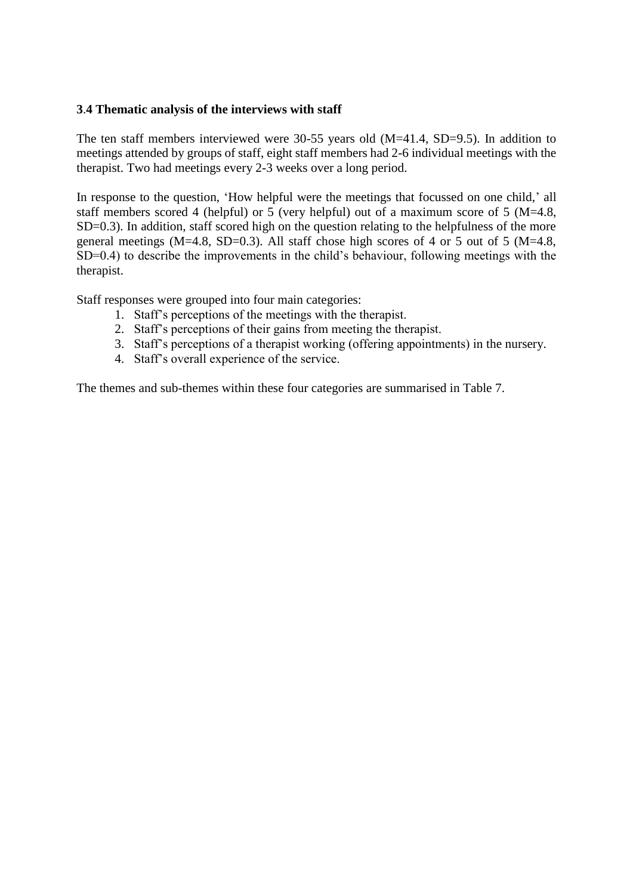### **3**.**4 Thematic analysis of the interviews with staff**

The ten staff members interviewed were 30-55 years old (M=41.4, SD=9.5). In addition to meetings attended by groups of staff, eight staff members had 2-6 individual meetings with the therapist. Two had meetings every 2-3 weeks over a long period.

In response to the question, 'How helpful were the meetings that focussed on one child,' all staff members scored 4 (helpful) or 5 (very helpful) out of a maximum score of 5 (M=4.8, SD=0.3). In addition, staff scored high on the question relating to the helpfulness of the more general meetings (M=4.8, SD=0.3). All staff chose high scores of 4 or 5 out of 5 (M=4.8, SD=0.4) to describe the improvements in the child's behaviour, following meetings with the therapist.

Staff responses were grouped into four main categories:

- 1. Staff's perceptions of the meetings with the therapist.
- 2. Staff's perceptions of their gains from meeting the therapist.
- 3. Staff's perceptions of a therapist working (offering appointments) in the nursery.
- 4. Staff's overall experience of the service.

The themes and sub-themes within these four categories are summarised in Table 7.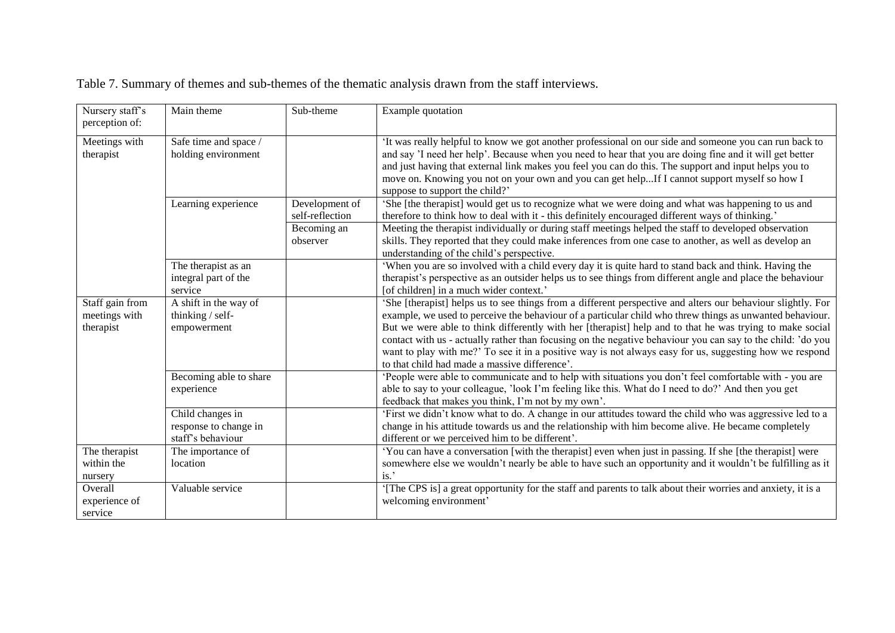| Nursery staff's | Main theme             | Sub-theme                         | Example quotation                                                                                                                    |
|-----------------|------------------------|-----------------------------------|--------------------------------------------------------------------------------------------------------------------------------------|
| perception of:  |                        |                                   |                                                                                                                                      |
|                 |                        |                                   |                                                                                                                                      |
| Meetings with   | Safe time and space /  |                                   | 'It was really helpful to know we got another professional on our side and someone you can run back to                               |
| therapist       | holding environment    |                                   | and say 'I need her help'. Because when you need to hear that you are doing fine and it will get better                              |
|                 |                        |                                   | and just having that external link makes you feel you can do this. The support and input helps you to                                |
|                 |                        |                                   | move on. Knowing you not on your own and you can get helpIf I cannot support myself so how I                                         |
|                 |                        |                                   | suppose to support the child?'<br>'She [the therapist] would get us to recognize what we were doing and what was happening to us and |
|                 | Learning experience    | Development of<br>self-reflection | therefore to think how to deal with it - this definitely encouraged different ways of thinking.'                                     |
|                 |                        |                                   | Meeting the therapist individually or during staff meetings helped the staff to developed observation                                |
|                 |                        | Becoming an<br>observer           | skills. They reported that they could make inferences from one case to another, as well as develop an                                |
|                 |                        |                                   | understanding of the child's perspective.                                                                                            |
|                 | The therapist as an    |                                   | 'When you are so involved with a child every day it is quite hard to stand back and think. Having the                                |
|                 | integral part of the   |                                   | therapist's perspective as an outsider helps us to see things from different angle and place the behaviour                           |
|                 | service                |                                   | [of children] in a much wider context.'                                                                                              |
| Staff gain from | A shift in the way of  |                                   | 'She [therapist] helps us to see things from a different perspective and alters our behaviour slightly. For                          |
| meetings with   | thinking / self-       |                                   | example, we used to perceive the behaviour of a particular child who threw things as unwanted behaviour.                             |
| therapist       | empowerment            |                                   | But we were able to think differently with her [therapist] help and to that he was trying to make social                             |
|                 |                        |                                   | contact with us - actually rather than focusing on the negative behaviour you can say to the child: 'do you                          |
|                 |                        |                                   | want to play with me?' To see it in a positive way is not always easy for us, suggesting how we respond                              |
|                 |                        |                                   | to that child had made a massive difference'.                                                                                        |
|                 | Becoming able to share |                                   | 'People were able to communicate and to help with situations you don't feel comfortable with - you are                               |
|                 | experience             |                                   | able to say to your colleague, 'look I'm feeling like this. What do I need to do?' And then you get                                  |
|                 |                        |                                   | feedback that makes you think, I'm not by my own'.                                                                                   |
|                 | Child changes in       |                                   | 'First we didn't know what to do. A change in our attitudes toward the child who was aggressive led to a                             |
|                 | response to change in  |                                   | change in his attitude towards us and the relationship with him become alive. He became completely                                   |
|                 | staff's behaviour      |                                   | different or we perceived him to be different'.                                                                                      |
| The therapist   | The importance of      |                                   | 'You can have a conversation [with the therapist] even when just in passing. If she [the therapist] were                             |
| within the      | location               |                                   | somewhere else we wouldn't nearly be able to have such an opportunity and it wouldn't be fulfilling as it                            |
| nursery         |                        |                                   | is.                                                                                                                                  |
| Overall         | Valuable service       |                                   | '[The CPS is] a great opportunity for the staff and parents to talk about their worries and anxiety, it is a                         |
| experience of   |                        |                                   | welcoming environment'                                                                                                               |
| service         |                        |                                   |                                                                                                                                      |

Table 7. Summary of themes and sub-themes of the thematic analysis drawn from the staff interviews.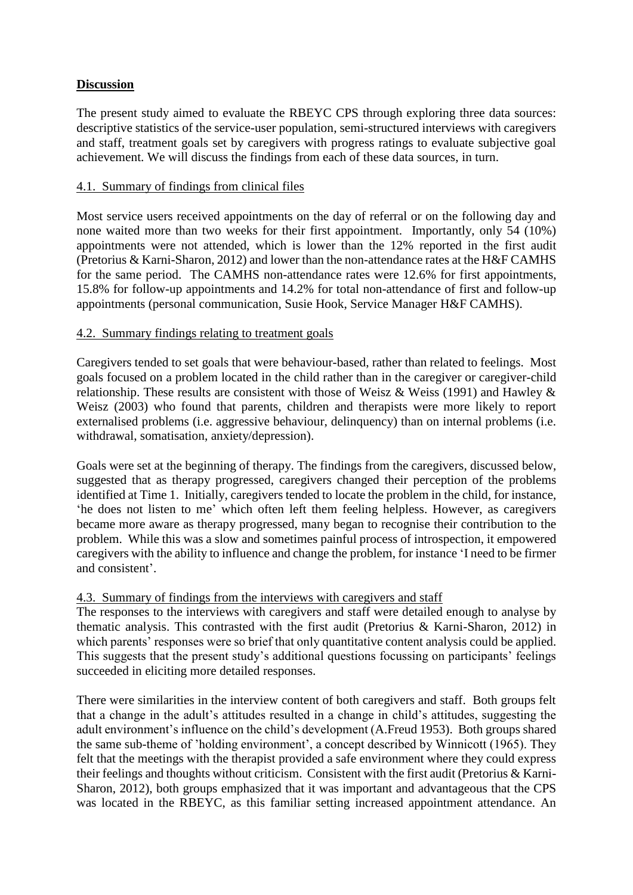### **Discussion**

The present study aimed to evaluate the RBEYC CPS through exploring three data sources: descriptive statistics of the service-user population, semi-structured interviews with caregivers and staff, treatment goals set by caregivers with progress ratings to evaluate subjective goal achievement. We will discuss the findings from each of these data sources, in turn.

### 4.1. Summary of findings from clinical files

Most service users received appointments on the day of referral or on the following day and none waited more than two weeks for their first appointment. Importantly, only 54 (10%) appointments were not attended, which is lower than the 12% reported in the first audit (Pretorius & Karni-Sharon, 2012) and lower than the non-attendance rates at the H&F CAMHS for the same period. The CAMHS non-attendance rates were 12.6% for first appointments, 15.8% for follow-up appointments and 14.2% for total non-attendance of first and follow-up appointments (personal communication, Susie Hook, Service Manager H&F CAMHS).

### 4.2. Summary findings relating to treatment goals

Caregivers tended to set goals that were behaviour-based, rather than related to feelings. Most goals focused on a problem located in the child rather than in the caregiver or caregiver-child relationship. These results are consistent with those of Weisz & Weiss (1991) and Hawley & Weisz (2003) who found that parents, children and therapists were more likely to report externalised problems (i.e. aggressive behaviour, delinquency) than on internal problems (i.e. withdrawal, somatisation, anxiety/depression).

Goals were set at the beginning of therapy. The findings from the caregivers, discussed below, suggested that as therapy progressed, caregivers changed their perception of the problems identified at Time 1. Initially, caregivers tended to locate the problem in the child, for instance, 'he does not listen to me' which often left them feeling helpless. However, as caregivers became more aware as therapy progressed, many began to recognise their contribution to the problem. While this was a slow and sometimes painful process of introspection, it empowered caregivers with the ability to influence and change the problem, for instance 'I need to be firmer and consistent'.

#### 4.3. Summary of findings from the interviews with caregivers and staff

The responses to the interviews with caregivers and staff were detailed enough to analyse by thematic analysis. This contrasted with the first audit (Pretorius & Karni-Sharon, 2012) in which parents' responses were so brief that only quantitative content analysis could be applied. This suggests that the present study's additional questions focussing on participants' feelings succeeded in eliciting more detailed responses.

There were similarities in the interview content of both caregivers and staff. Both groups felt that a change in the adult's attitudes resulted in a change in child's attitudes, suggesting the adult environment's influence on the child's development (A.Freud 1953). Both groups shared the same sub-theme of 'holding environment', a concept described by Winnicott (1965). They felt that the meetings with the therapist provided a safe environment where they could express their feelings and thoughts without criticism. Consistent with the first audit (Pretorius & Karni-Sharon, 2012), both groups emphasized that it was important and advantageous that the CPS was located in the RBEYC, as this familiar setting increased appointment attendance. An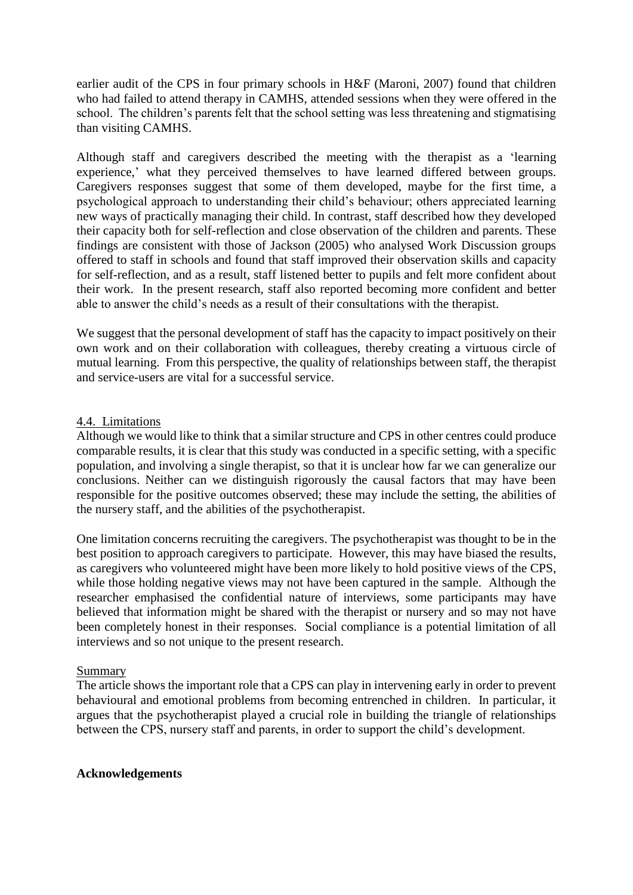earlier audit of the CPS in four primary schools in H&F (Maroni, 2007) found that children who had failed to attend therapy in CAMHS, attended sessions when they were offered in the school. The children's parents felt that the school setting was less threatening and stigmatising than visiting CAMHS.

Although staff and caregivers described the meeting with the therapist as a 'learning experience,' what they perceived themselves to have learned differed between groups. Caregivers responses suggest that some of them developed, maybe for the first time, a psychological approach to understanding their child's behaviour; others appreciated learning new ways of practically managing their child. In contrast, staff described how they developed their capacity both for self-reflection and close observation of the children and parents. These findings are consistent with those of Jackson (2005) who analysed Work Discussion groups offered to staff in schools and found that staff improved their observation skills and capacity for self-reflection, and as a result, staff listened better to pupils and felt more confident about their work. In the present research, staff also reported becoming more confident and better able to answer the child's needs as a result of their consultations with the therapist.

We suggest that the personal development of staff has the capacity to impact positively on their own work and on their collaboration with colleagues, thereby creating a virtuous circle of mutual learning. From this perspective, the quality of relationships between staff, the therapist and service-users are vital for a successful service.

#### 4.4. Limitations

Although we would like to think that a similar structure and CPS in other centres could produce comparable results, it is clear that this study was conducted in a specific setting, with a specific population, and involving a single therapist, so that it is unclear how far we can generalize our conclusions. Neither can we distinguish rigorously the causal factors that may have been responsible for the positive outcomes observed; these may include the setting, the abilities of the nursery staff, and the abilities of the psychotherapist.

One limitation concerns recruiting the caregivers. The psychotherapist was thought to be in the best position to approach caregivers to participate. However, this may have biased the results, as caregivers who volunteered might have been more likely to hold positive views of the CPS, while those holding negative views may not have been captured in the sample. Although the researcher emphasised the confidential nature of interviews, some participants may have believed that information might be shared with the therapist or nursery and so may not have been completely honest in their responses. Social compliance is a potential limitation of all interviews and so not unique to the present research.

#### Summary

The article shows the important role that a CPS can play in intervening early in order to prevent behavioural and emotional problems from becoming entrenched in children. In particular, it argues that the psychotherapist played a crucial role in building the triangle of relationships between the CPS, nursery staff and parents, in order to support the child's development.

#### **Acknowledgements**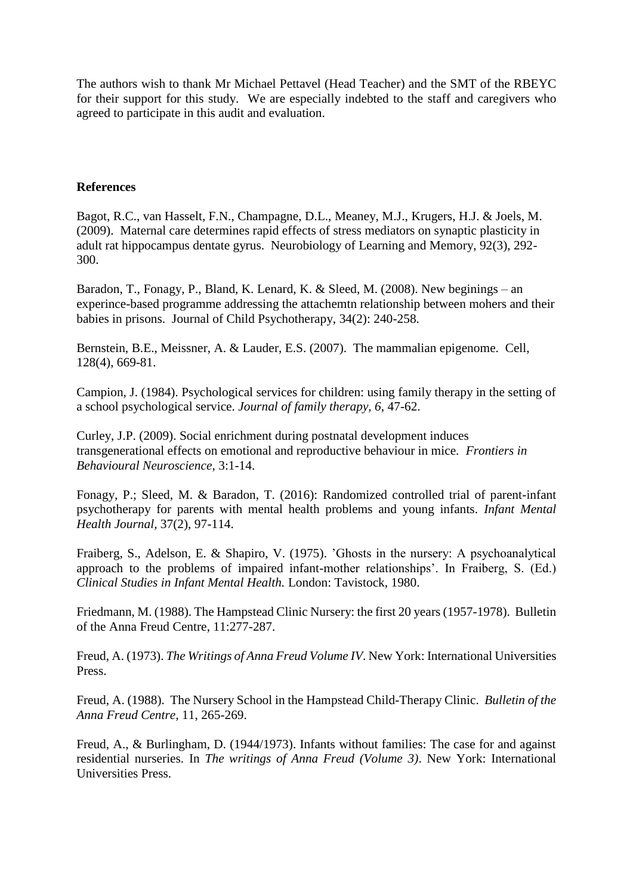The authors wish to thank Mr Michael Pettavel (Head Teacher) and the SMT of the RBEYC for their support for this study. We are especially indebted to the staff and caregivers who agreed to participate in this audit and evaluation.

### **References**

Bagot, R.C., van Hasselt, F.N., Champagne, D.L., Meaney, M.J., Krugers, H.J. & Joels, M. (2009). Maternal care determines rapid effects of stress mediators on synaptic plasticity in adult rat hippocampus dentate gyrus. Neurobiology of Learning and Memory, 92(3), 292- 300.

Baradon, T., Fonagy, P., Bland, K. Lenard, K. & Sleed, M. (2008). New beginings – an experince-based programme addressing the attachemtn relationship between mohers and their babies in prisons. Journal of Child Psychotherapy, 34(2): 240-258.

Bernstein, B.E., Meissner, A. & Lauder, E.S. (2007). The mammalian epigenome. Cell, 128(4), 669-81.

Campion, J. (1984). Psychological services for children: using family therapy in the setting of a school psychological service. *Journal of family therapy, 6*, 47-62.

Curley, J.P. (2009). Social enrichment during postnatal development induces transgenerational effects on emotional and reproductive behaviour in mice. *Frontiers in Behavioural Neuroscience*, 3:1-14.

Fonagy, P.; Sleed, M. & Baradon, T. (2016): Randomized controlled trial of parent-infant psychotherapy for parents with mental health problems and young infants. *Infant Mental Health Journal,* 37(2), 97-114.

Fraiberg, S., Adelson, E. & Shapiro, V. (1975). 'Ghosts in the nursery: A psychoanalytical approach to the problems of impaired infant-mother relationships'. In Fraiberg, S. (Ed.) *Clinical Studies in Infant Mental Health.* London: Tavistock, 1980.

Friedmann, M. (1988). The Hampstead Clinic Nursery: the first 20 years (1957-1978). Bulletin of the Anna Freud Centre, 11:277-287.

Freud, A. (1973). *The Writings of Anna Freud Volume IV*. New York: International Universities Press.

Freud, A. (1988). The Nursery School in the Hampstead Child-Therapy Clinic. *Bulletin of the Anna Freud Centre,* 11, 265-269.

Freud, A., & Burlingham, D. (1944/1973). Infants without families: The case for and against residential nurseries. In *The writings of Anna Freud (Volume 3)*. New York: International Universities Press.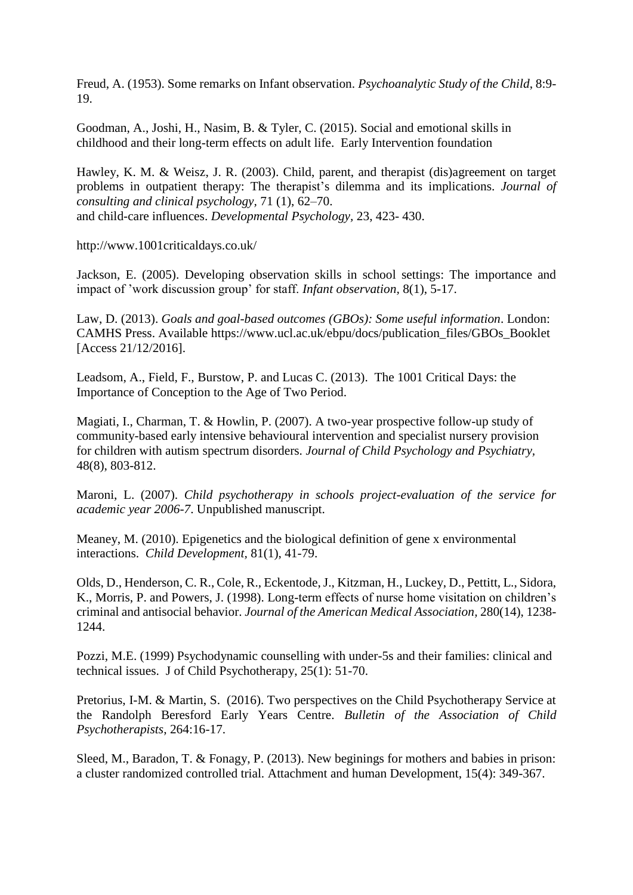Freud, A. (1953). Some remarks on Infant observation. *Psychoanalytic Study of the Child*, 8:9- 19.

Goodman, A., Joshi, H., Nasim, B. & Tyler, C. (2015). Social and emotional skills in childhood and their long-term effects on adult life. Early Intervention foundation

Hawley, K. M. & Weisz, J. R. (2003). Child, parent, and therapist (dis)agreement on target problems in outpatient therapy: The therapist's dilemma and its implications. *Journal of consulting and clinical psychology,* 71 (1), 62–70. and child-care influences. *Developmental Psychology,* 23, 423- 430.

http://www.1001criticaldays.co.uk/

Jackson, E. (2005). Developing observation skills in school settings: The importance and impact of 'work discussion group' for staff. *Infant observation,* 8(1), 5-17.

Law, D. (2013). *Goals and goal-based outcomes (GBOs): Some useful information*. London: CAMHS Press. Available [https://www.ucl.ac.uk/ebpu/docs/publication\\_files/GBOs\\_Booklet](https://www.ucl.ac.uk/ebpu/docs/publication_files/GBOs_Booklet) [Access 21/12/2016].

Leadsom, A., Field, F., Burstow, P. and Lucas C. (2013). The 1001 Critical Days: the Importance of Conception to the Age of Two Period.

Magiati, I., Charman, T. & Howlin, P. (2007). A two-year prospective follow-up study of community-based early intensive behavioural intervention and specialist nursery provision for children with autism spectrum disorders. *Journal of Child Psychology and Psychiatry,*  48(8), 803-812.

Maroni, L. (2007). *Child psychotherapy in schools project-evaluation of the service for academic year 2006-7*. Unpublished manuscript.

Meaney, M. (2010). Epigenetics and the biological definition of gene x environmental interactions. *Child Development,* 81(1), 41-79.

Olds, D., Henderson, C. R., Cole, R., Eckentode, J., Kitzman, H., Luckey, D., Pettitt, L., Sidora, K., Morris, P. and Powers, J. (1998). Long-term effects of nurse home visitation on children's criminal and antisocial behavior. *Journal of the American Medical Association,* 280(14), 1238- 1244.

Pozzi, M.E. (1999) Psychodynamic counselling with under-5s and their families: clinical and technical issues. J of Child Psychotherapy, 25(1): 51-70.

Pretorius, I-M. & Martin, S. (2016). Two perspectives on the Child Psychotherapy Service at the Randolph Beresford Early Years Centre. *Bulletin of the Association of Child Psychotherapists*, 264:16-17.

Sleed, M., Baradon, T. & Fonagy, P. (2013). New beginings for mothers and babies in prison: a cluster randomized controlled trial. Attachment and human Development, 15(4): 349-367.